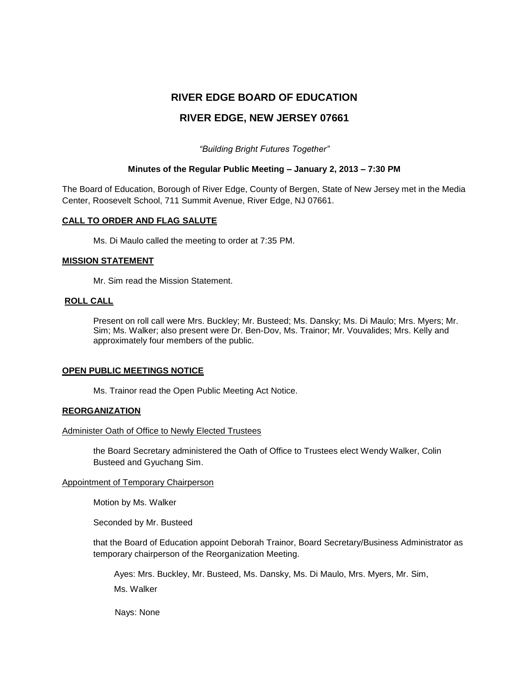# **RIVER EDGE BOARD OF EDUCATION**

# **RIVER EDGE, NEW JERSEY 07661**

*"Building Bright Futures Together"*

### **Minutes of the Regular Public Meeting – January 2, 2013 – 7:30 PM**

The Board of Education, Borough of River Edge, County of Bergen, State of New Jersey met in the Media Center, Roosevelt School, 711 Summit Avenue, River Edge, NJ 07661.

### **CALL TO ORDER AND FLAG SALUTE**

Ms. Di Maulo called the meeting to order at 7:35 PM.

### **MISSION STATEMENT**

Mr. Sim read the Mission Statement.

#### **ROLL CALL**

Present on roll call were Mrs. Buckley; Mr. Busteed; Ms. Dansky; Ms. Di Maulo; Mrs. Myers; Mr. Sim; Ms. Walker; also present were Dr. Ben-Dov, Ms. Trainor; Mr. Vouvalides; Mrs. Kelly and approximately four members of the public.

### **OPEN PUBLIC MEETINGS NOTICE**

Ms. Trainor read the Open Public Meeting Act Notice.

### **REORGANIZATION**

#### Administer Oath of Office to Newly Elected Trustees

the Board Secretary administered the Oath of Office to Trustees elect Wendy Walker, Colin Busteed and Gyuchang Sim.

### Appointment of Temporary Chairperson

Motion by Ms. Walker

Seconded by Mr. Busteed

that the Board of Education appoint Deborah Trainor, Board Secretary/Business Administrator as temporary chairperson of the Reorganization Meeting.

Ayes: Mrs. Buckley, Mr. Busteed, Ms. Dansky, Ms. Di Maulo, Mrs. Myers, Mr. Sim, Ms. Walker

Nays: None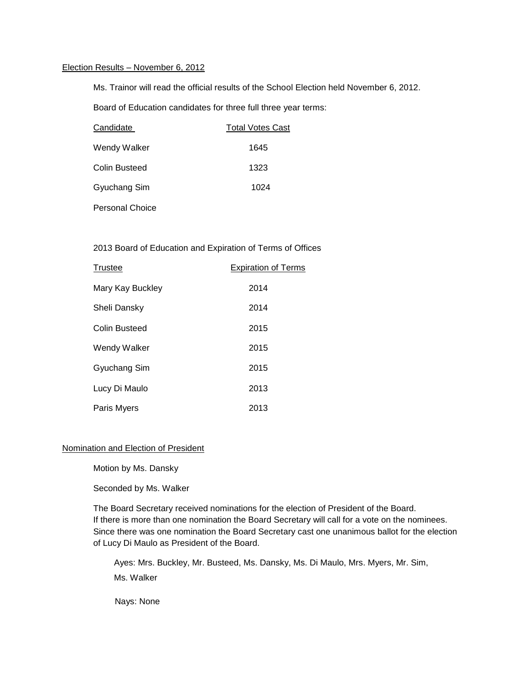# Election Results – November 6, 2012

Ms. Trainor will read the official results of the School Election held November 6, 2012.

Board of Education candidates for three full three year terms:

| Candidate            | <b>Total Votes Cast</b> |  |
|----------------------|-------------------------|--|
| Wendy Walker         | 1645                    |  |
| <b>Colin Busteed</b> | 1323                    |  |
| Gyuchang Sim         | 1024                    |  |
| Personal Choice      |                         |  |

# 2013 Board of Education and Expiration of Terms of Offices

| Trustee          | <b>Expiration of Terms</b> |
|------------------|----------------------------|
| Mary Kay Buckley | 2014                       |
| Sheli Dansky     | 2014                       |
| Colin Busteed    | 2015                       |
| Wendy Walker     | 2015                       |
| Gyuchang Sim     | 2015                       |
| Lucy Di Maulo    | 2013                       |
| Paris Myers      | 2013                       |

### Nomination and Election of President

Motion by Ms. Dansky

Seconded by Ms. Walker

The Board Secretary received nominations for the election of President of the Board. If there is more than one nomination the Board Secretary will call for a vote on the nominees. Since there was one nomination the Board Secretary cast one unanimous ballot for the election of Lucy Di Maulo as President of the Board.

Ayes: Mrs. Buckley, Mr. Busteed, Ms. Dansky, Ms. Di Maulo, Mrs. Myers, Mr. Sim, Ms. Walker

Nays: None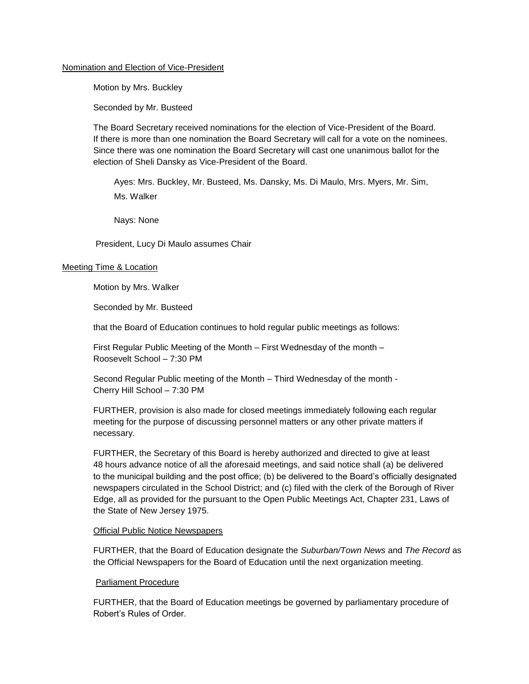### Nomination and Election of Vice-President

Motion by Mrs. Buckley

Seconded by Mr. Busteed

The Board Secretary received nominations for the election of Vice-President of the Board. If there is more than one nomination the Board Secretary will call for a vote on the nominees. Since there was one nomination the Board Secretary will cast one unanimous ballot for the election of Sheli Dansky as Vice-President of the Board.

Ayes: Mrs. Buckley, Mr. Busteed, Ms. Dansky, Ms. Di Maulo, Mrs. Myers, Mr. Sim, Ms. Walker

Nays: None

President, Lucy Di Maulo assumes Chair

### Meeting Time & Location

Motion by Mrs. Walker

Seconded by Mr. Busteed

that the Board of Education continues to hold regular public meetings as follows:

First Regular Public Meeting of the Month – First Wednesday of the month – Roosevelt School – 7:30 PM

Second Regular Public meeting of the Month – Third Wednesday of the month - Cherry Hill School – 7:30 PM

FURTHER, provision is also made for closed meetings immediately following each regular meeting for the purpose of discussing personnel matters or any other private matters if necessary.

FURTHER, the Secretary of this Board is hereby authorized and directed to give at least 48 hours advance notice of all the aforesaid meetings, and said notice shall (a) be delivered to the municipal building and the post office; (b) be delivered to the Board's officially designated newspapers circulated in the School District; and (c) filed with the clerk of the Borough of River Edge, all as provided for the pursuant to the Open Public Meetings Act, Chapter 231, Laws of the State of New Jersey 1975.

### Official Public Notice Newspapers

FURTHER, that the Board of Education designate the *Suburban/Town News* and *The Record* as the Official Newspapers for the Board of Education until the next organization meeting.

# Parliament Procedure

FURTHER, that the Board of Education meetings be governed by parliamentary procedure of Robert's Rules of Order.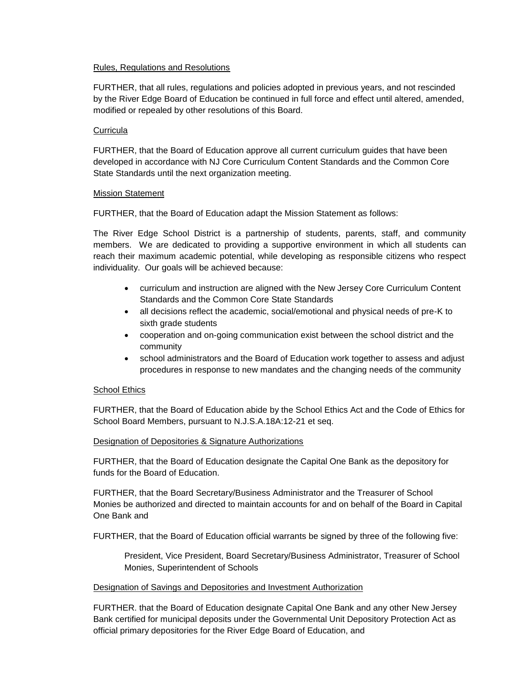### Rules, Regulations and Resolutions

FURTHER, that all rules, regulations and policies adopted in previous years, and not rescinded by the River Edge Board of Education be continued in full force and effect until altered, amended, modified or repealed by other resolutions of this Board.

### **Curricula**

FURTHER, that the Board of Education approve all current curriculum guides that have been developed in accordance with NJ Core Curriculum Content Standards and the Common Core State Standards until the next organization meeting.

### Mission Statement

FURTHER, that the Board of Education adapt the Mission Statement as follows:

The River Edge School District is a partnership of students, parents, staff, and community members. We are dedicated to providing a supportive environment in which all students can reach their maximum academic potential, while developing as responsible citizens who respect individuality. Our goals will be achieved because:

- curriculum and instruction are aligned with the New Jersey Core Curriculum Content Standards and the Common Core State Standards
- all decisions reflect the academic, social/emotional and physical needs of pre-K to sixth grade students
- cooperation and on-going communication exist between the school district and the community
- school administrators and the Board of Education work together to assess and adjust procedures in response to new mandates and the changing needs of the community

### School Ethics

FURTHER, that the Board of Education abide by the School Ethics Act and the Code of Ethics for School Board Members, pursuant to N.J.S.A.18A:12-21 et seq.

### Designation of Depositories & Signature Authorizations

FURTHER, that the Board of Education designate the Capital One Bank as the depository for funds for the Board of Education.

FURTHER, that the Board Secretary/Business Administrator and the Treasurer of School Monies be authorized and directed to maintain accounts for and on behalf of the Board in Capital One Bank and

FURTHER, that the Board of Education official warrants be signed by three of the following five:

President, Vice President, Board Secretary/Business Administrator, Treasurer of School Monies, Superintendent of Schools

### Designation of Savings and Depositories and Investment Authorization

FURTHER. that the Board of Education designate Capital One Bank and any other New Jersey Bank certified for municipal deposits under the Governmental Unit Depository Protection Act as official primary depositories for the River Edge Board of Education, and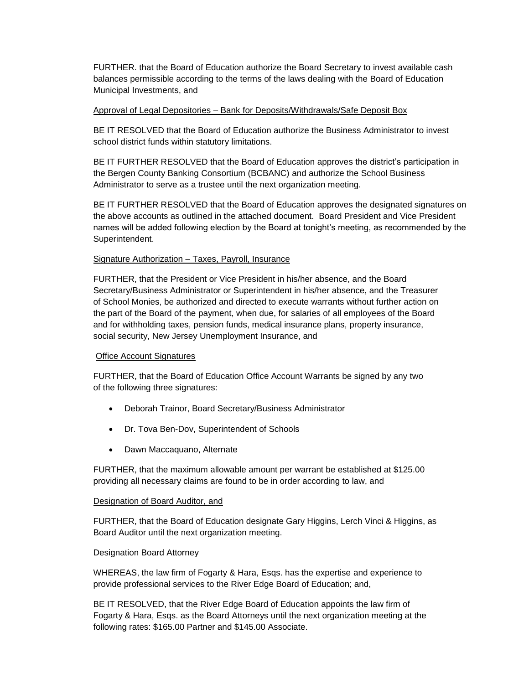FURTHER. that the Board of Education authorize the Board Secretary to invest available cash balances permissible according to the terms of the laws dealing with the Board of Education Municipal Investments, and

### Approval of Legal Depositories – Bank for Deposits/Withdrawals/Safe Deposit Box

BE IT RESOLVED that the Board of Education authorize the Business Administrator to invest school district funds within statutory limitations.

BE IT FURTHER RESOLVED that the Board of Education approves the district's participation in the Bergen County Banking Consortium (BCBANC) and authorize the School Business Administrator to serve as a trustee until the next organization meeting.

BE IT FURTHER RESOLVED that the Board of Education approves the designated signatures on the above accounts as outlined in the attached document. Board President and Vice President names will be added following election by the Board at tonight's meeting, as recommended by the Superintendent.

### Signature Authorization – Taxes, Payroll, Insurance

FURTHER, that the President or Vice President in his/her absence, and the Board Secretary/Business Administrator or Superintendent in his/her absence, and the Treasurer of School Monies, be authorized and directed to execute warrants without further action on the part of the Board of the payment, when due, for salaries of all employees of the Board and for withholding taxes, pension funds, medical insurance plans, property insurance, social security, New Jersey Unemployment Insurance, and

# Office Account Signatures

FURTHER, that the Board of Education Office Account Warrants be signed by any two of the following three signatures:

- Deborah Trainor, Board Secretary/Business Administrator
- Dr. Tova Ben-Dov, Superintendent of Schools
- Dawn Maccaquano, Alternate

FURTHER, that the maximum allowable amount per warrant be established at \$125.00 providing all necessary claims are found to be in order according to law, and

### Designation of Board Auditor, and

FURTHER, that the Board of Education designate Gary Higgins, Lerch Vinci & Higgins, as Board Auditor until the next organization meeting.

# Designation Board Attorney

WHEREAS, the law firm of Fogarty & Hara, Esqs. has the expertise and experience to provide professional services to the River Edge Board of Education; and,

BE IT RESOLVED, that the River Edge Board of Education appoints the law firm of Fogarty & Hara, Esqs. as the Board Attorneys until the next organization meeting at the following rates: \$165.00 Partner and \$145.00 Associate.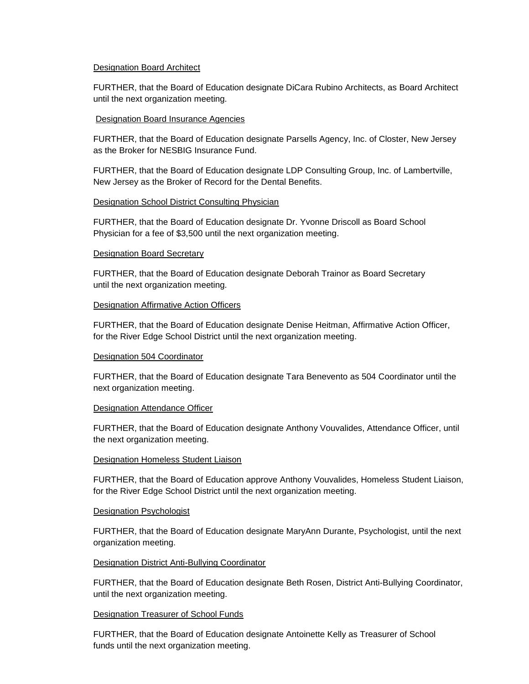### Designation Board Architect

FURTHER, that the Board of Education designate DiCara Rubino Architects, as Board Architect until the next organization meeting.

### Designation Board Insurance Agencies

FURTHER, that the Board of Education designate Parsells Agency, Inc. of Closter, New Jersey as the Broker for NESBIG Insurance Fund.

FURTHER, that the Board of Education designate LDP Consulting Group, Inc. of Lambertville, New Jersey as the Broker of Record for the Dental Benefits.

### Designation School District Consulting Physician

FURTHER, that the Board of Education designate Dr. Yvonne Driscoll as Board School Physician for a fee of \$3,500 until the next organization meeting.

### Designation Board Secretary

FURTHER, that the Board of Education designate Deborah Trainor as Board Secretary until the next organization meeting.

### Designation Affirmative Action Officers

FURTHER, that the Board of Education designate Denise Heitman, Affirmative Action Officer, for the River Edge School District until the next organization meeting.

### Designation 504 Coordinator

FURTHER, that the Board of Education designate Tara Benevento as 504 Coordinator until the next organization meeting.

### Designation Attendance Officer

FURTHER, that the Board of Education designate Anthony Vouvalides, Attendance Officer, until the next organization meeting.

### Designation Homeless Student Liaison

FURTHER, that the Board of Education approve Anthony Vouvalides, Homeless Student Liaison, for the River Edge School District until the next organization meeting.

### Designation Psychologist

FURTHER, that the Board of Education designate MaryAnn Durante, Psychologist, until the next organization meeting.

### Designation District Anti-Bullying Coordinator

FURTHER, that the Board of Education designate Beth Rosen, District Anti-Bullying Coordinator, until the next organization meeting.

### Designation Treasurer of School Funds

FURTHER, that the Board of Education designate Antoinette Kelly as Treasurer of School funds until the next organization meeting.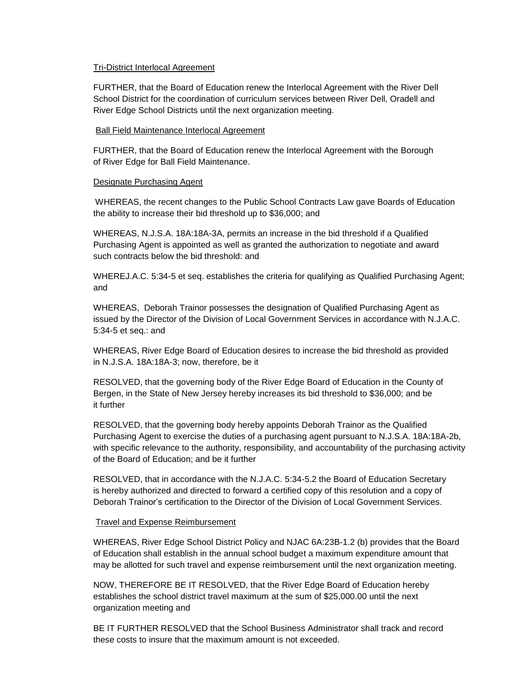### Tri-District Interlocal Agreement

FURTHER, that the Board of Education renew the Interlocal Agreement with the River Dell School District for the coordination of curriculum services between River Dell, Oradell and River Edge School Districts until the next organization meeting.

### Ball Field Maintenance Interlocal Agreement

FURTHER, that the Board of Education renew the Interlocal Agreement with the Borough of River Edge for Ball Field Maintenance.

### Designate Purchasing Agent

WHEREAS, the recent changes to the Public School Contracts Law gave Boards of Education the ability to increase their bid threshold up to \$36,000; and

WHEREAS, N.J.S.A. 18A:18A-3A, permits an increase in the bid threshold if a Qualified Purchasing Agent is appointed as well as granted the authorization to negotiate and award such contracts below the bid threshold: and

WHEREJ.A.C. 5:34-5 et seq. establishes the criteria for qualifying as Qualified Purchasing Agent; and

WHEREAS, Deborah Trainor possesses the designation of Qualified Purchasing Agent as issued by the Director of the Division of Local Government Services in accordance with N.J.A.C. 5:34-5 et seq.: and

WHEREAS, River Edge Board of Education desires to increase the bid threshold as provided in N.J.S.A. 18A:18A-3; now, therefore, be it

RESOLVED, that the governing body of the River Edge Board of Education in the County of Bergen, in the State of New Jersey hereby increases its bid threshold to \$36,000; and be it further

RESOLVED, that the governing body hereby appoints Deborah Trainor as the Qualified Purchasing Agent to exercise the duties of a purchasing agent pursuant to N.J.S.A. 18A:18A-2b, with specific relevance to the authority, responsibility, and accountability of the purchasing activity of the Board of Education; and be it further

RESOLVED, that in accordance with the N.J.A.C. 5:34-5.2 the Board of Education Secretary is hereby authorized and directed to forward a certified copy of this resolution and a copy of Deborah Trainor's certification to the Director of the Division of Local Government Services.

### Travel and Expense Reimbursement

WHEREAS, River Edge School District Policy and NJAC 6A:23B-1.2 (b) provides that the Board of Education shall establish in the annual school budget a maximum expenditure amount that may be allotted for such travel and expense reimbursement until the next organization meeting.

NOW, THEREFORE BE IT RESOLVED, that the River Edge Board of Education hereby establishes the school district travel maximum at the sum of \$25,000.00 until the next organization meeting and

BE IT FURTHER RESOLVED that the School Business Administrator shall track and record these costs to insure that the maximum amount is not exceeded.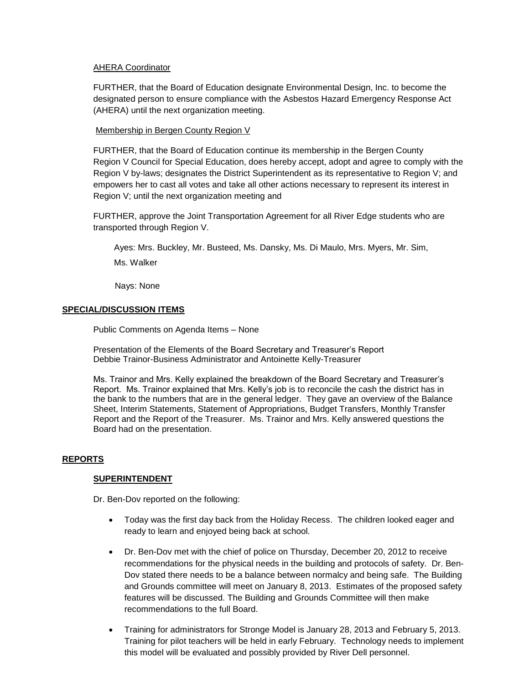### AHERA Coordinator

FURTHER, that the Board of Education designate Environmental Design, Inc. to become the designated person to ensure compliance with the Asbestos Hazard Emergency Response Act (AHERA) until the next organization meeting.

### Membership in Bergen County Region V

FURTHER, that the Board of Education continue its membership in the Bergen County Region V Council for Special Education, does hereby accept, adopt and agree to comply with the Region V by-laws; designates the District Superintendent as its representative to Region V; and empowers her to cast all votes and take all other actions necessary to represent its interest in Region V; until the next organization meeting and

FURTHER, approve the Joint Transportation Agreement for all River Edge students who are transported through Region V.

Ayes: Mrs. Buckley, Mr. Busteed, Ms. Dansky, Ms. Di Maulo, Mrs. Myers, Mr. Sim, Ms. Walker

Nays: None

### **SPECIAL/DISCUSSION ITEMS**

Public Comments on Agenda Items – None

Presentation of the Elements of the Board Secretary and Treasurer's Report Debbie Trainor-Business Administrator and Antoinette Kelly-Treasurer

Ms. Trainor and Mrs. Kelly explained the breakdown of the Board Secretary and Treasurer's Report. Ms. Trainor explained that Mrs. Kelly's job is to reconcile the cash the district has in the bank to the numbers that are in the general ledger. They gave an overview of the Balance Sheet, Interim Statements, Statement of Appropriations, Budget Transfers, Monthly Transfer Report and the Report of the Treasurer. Ms. Trainor and Mrs. Kelly answered questions the Board had on the presentation.

### **REPORTS**

### **SUPERINTENDENT**

Dr. Ben-Dov reported on the following:

- Today was the first day back from the Holiday Recess. The children looked eager and ready to learn and enjoyed being back at school.
- Dr. Ben-Dov met with the chief of police on Thursday, December 20, 2012 to receive recommendations for the physical needs in the building and protocols of safety. Dr. Ben-Dov stated there needs to be a balance between normalcy and being safe. The Building and Grounds committee will meet on January 8, 2013. Estimates of the proposed safety features will be discussed. The Building and Grounds Committee will then make recommendations to the full Board.
- Training for administrators for Stronge Model is January 28, 2013 and February 5, 2013. Training for pilot teachers will be held in early February. Technology needs to implement this model will be evaluated and possibly provided by River Dell personnel.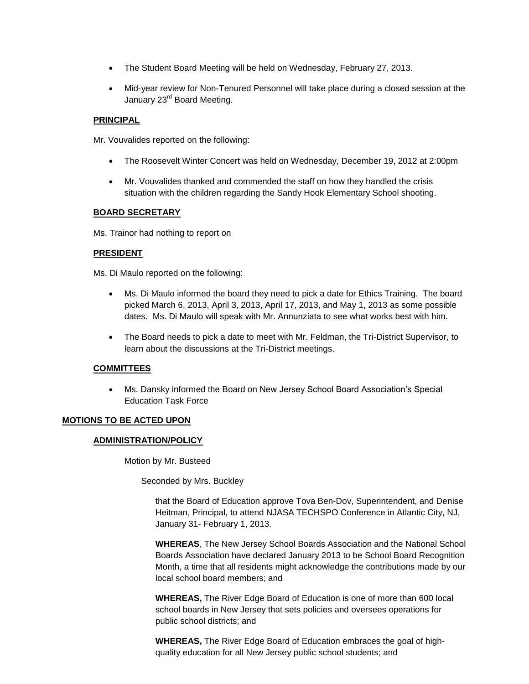- The Student Board Meeting will be held on Wednesday, February 27, 2013.
- Mid-year review for Non-Tenured Personnel will take place during a closed session at the January 23<sup>rd</sup> Board Meeting.

### **PRINCIPAL**

Mr. Vouvalides reported on the following:

- The Roosevelt Winter Concert was held on Wednesday, December 19, 2012 at 2:00pm
- Mr. Vouvalides thanked and commended the staff on how they handled the crisis situation with the children regarding the Sandy Hook Elementary School shooting.

### **BOARD SECRETARY**

Ms. Trainor had nothing to report on

### **PRESIDENT**

Ms. Di Maulo reported on the following:

- Ms. Di Maulo informed the board they need to pick a date for Ethics Training. The board picked March 6, 2013, April 3, 2013, April 17, 2013, and May 1, 2013 as some possible dates. Ms. Di Maulo will speak with Mr. Annunziata to see what works best with him.
- The Board needs to pick a date to meet with Mr. Feldman, the Tri-District Supervisor, to learn about the discussions at the Tri-District meetings.

# **COMMITTEES**

 Ms. Dansky informed the Board on New Jersey School Board Association's Special Education Task Force

# **MOTIONS TO BE ACTED UPON**

### **ADMINISTRATION/POLICY**

Motion by Mr. Busteed

Seconded by Mrs. Buckley

that the Board of Education approve Tova Ben-Dov, Superintendent, and Denise Heitman, Principal, to attend NJASA TECHSPO Conference in Atlantic City, NJ, January 31- February 1, 2013.

**WHEREAS**, The New Jersey School Boards Association and the National School Boards Association have declared January 2013 to be School Board Recognition Month, a time that all residents might acknowledge the contributions made by our local school board members; and

**WHEREAS,** The River Edge Board of Education is one of more than 600 local school boards in New Jersey that sets policies and oversees operations for public school districts; and

**WHEREAS,** The River Edge Board of Education embraces the goal of highquality education for all New Jersey public school students; and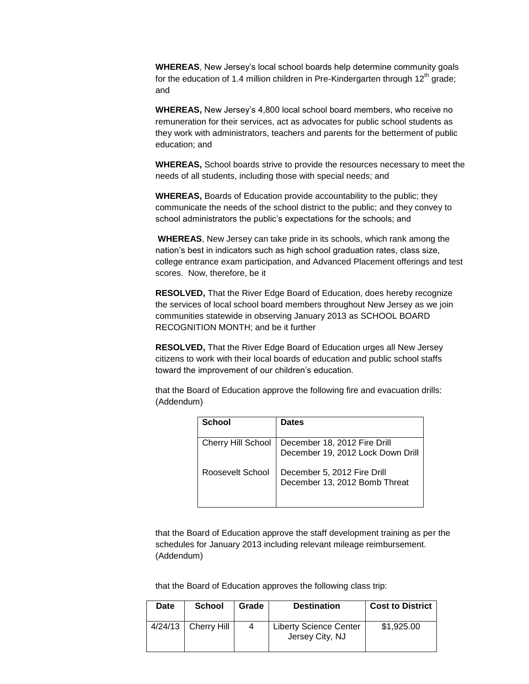**WHEREAS**, New Jersey's local school boards help determine community goals for the education of 1.4 million children in Pre-Kindergarten through  $12<sup>th</sup>$  grade; and

**WHEREAS,** New Jersey's 4,800 local school board members, who receive no remuneration for their services, act as advocates for public school students as they work with administrators, teachers and parents for the betterment of public education; and

**WHEREAS,** School boards strive to provide the resources necessary to meet the needs of all students, including those with special needs; and

**WHEREAS,** Boards of Education provide accountability to the public; they communicate the needs of the school district to the public; and they convey to school administrators the public's expectations for the schools; and

**WHEREAS**, New Jersey can take pride in its schools, which rank among the nation's best in indicators such as high school graduation rates, class size, college entrance exam participation, and Advanced Placement offerings and test scores. Now, therefore, be it

**RESOLVED,** That the River Edge Board of Education, does hereby recognize the services of local school board members throughout New Jersey as we join communities statewide in observing January 2013 as SCHOOL BOARD RECOGNITION MONTH; and be it further

**RESOLVED,** That the River Edge Board of Education urges all New Jersey citizens to work with their local boards of education and public school staffs toward the improvement of our children's education.

that the Board of Education approve the following fire and evacuation drills: (Addendum)

| School                    | <b>Dates</b>                                                      |
|---------------------------|-------------------------------------------------------------------|
| <b>Cherry Hill School</b> | December 18, 2012 Fire Drill<br>December 19, 2012 Lock Down Drill |
| Roosevelt School          | December 5, 2012 Fire Drill<br>December 13, 2012 Bomb Threat      |

that the Board of Education approve the staff development training as per the schedules for January 2013 including relevant mileage reimbursement. (Addendum)

that the Board of Education approves the following class trip:

| <b>Date</b> | <b>School</b>         | Grade | <b>Destination</b>                               | <b>Cost to District</b> |
|-------------|-----------------------|-------|--------------------------------------------------|-------------------------|
|             | $4/24/13$ Cherry Hill | 4     | <b>Liberty Science Center</b><br>Jersey City, NJ | \$1,925.00              |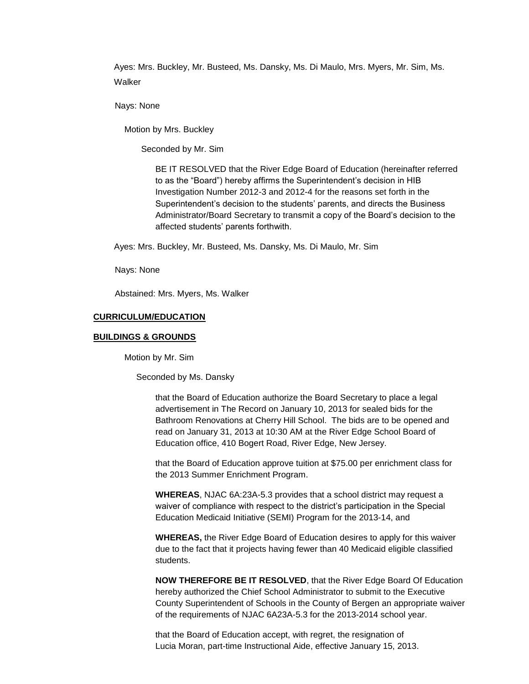Ayes: Mrs. Buckley, Mr. Busteed, Ms. Dansky, Ms. Di Maulo, Mrs. Myers, Mr. Sim, Ms. Walker

Nays: None

Motion by Mrs. Buckley

Seconded by Mr. Sim

BE IT RESOLVED that the River Edge Board of Education (hereinafter referred to as the "Board") hereby affirms the Superintendent's decision in HIB Investigation Number 2012-3 and 2012-4 for the reasons set forth in the Superintendent's decision to the students' parents, and directs the Business Administrator/Board Secretary to transmit a copy of the Board's decision to the affected students' parents forthwith.

Ayes: Mrs. Buckley, Mr. Busteed, Ms. Dansky, Ms. Di Maulo, Mr. Sim

Nays: None

Abstained: Mrs. Myers, Ms. Walker

#### **CURRICULUM/EDUCATION**

#### **BUILDINGS & GROUNDS**

Motion by Mr. Sim

Seconded by Ms. Dansky

that the Board of Education authorize the Board Secretary to place a legal advertisement in The Record on January 10, 2013 for sealed bids for the Bathroom Renovations at Cherry Hill School. The bids are to be opened and read on January 31, 2013 at 10:30 AM at the River Edge School Board of Education office, 410 Bogert Road, River Edge, New Jersey.

that the Board of Education approve tuition at \$75.00 per enrichment class for the 2013 Summer Enrichment Program.

**WHEREAS**, NJAC 6A:23A-5.3 provides that a school district may request a waiver of compliance with respect to the district's participation in the Special Education Medicaid Initiative (SEMI) Program for the 2013-14, and

**WHEREAS,** the River Edge Board of Education desires to apply for this waiver due to the fact that it projects having fewer than 40 Medicaid eligible classified students.

**NOW THEREFORE BE IT RESOLVED**, that the River Edge Board Of Education hereby authorized the Chief School Administrator to submit to the Executive County Superintendent of Schools in the County of Bergen an appropriate waiver of the requirements of NJAC 6A23A-5.3 for the 2013-2014 school year.

that the Board of Education accept, with regret, the resignation of Lucia Moran, part-time Instructional Aide, effective January 15, 2013.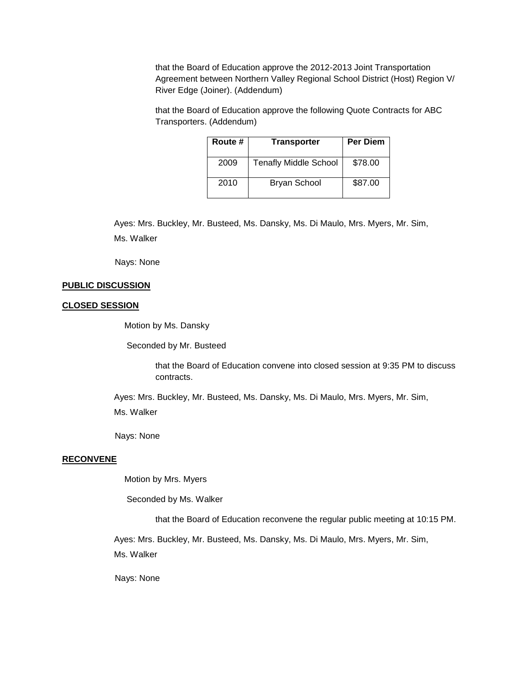that the Board of Education approve the 2012-2013 Joint Transportation Agreement between Northern Valley Regional School District (Host) Region V/ River Edge (Joiner). (Addendum)

that the Board of Education approve the following Quote Contracts for ABC Transporters. (Addendum)

| Route # | <b>Transporter</b>           | <b>Per Diem</b> |
|---------|------------------------------|-----------------|
| 2009    | <b>Tenafly Middle School</b> | \$78.00         |
| 2010    | <b>Bryan School</b>          | \$87.00         |

Ayes: Mrs. Buckley, Mr. Busteed, Ms. Dansky, Ms. Di Maulo, Mrs. Myers, Mr. Sim, Ms. Walker

Nays: None

### **PUBLIC DISCUSSION**

### **CLOSED SESSION**

Motion by Ms. Dansky

Seconded by Mr. Busteed

that the Board of Education convene into closed session at 9:35 PM to discuss contracts.

Ayes: Mrs. Buckley, Mr. Busteed, Ms. Dansky, Ms. Di Maulo, Mrs. Myers, Mr. Sim, Ms. Walker

Nays: None

#### **RECONVENE**

Motion by Mrs. Myers

Seconded by Ms. Walker

that the Board of Education reconvene the regular public meeting at 10:15 PM.

Ayes: Mrs. Buckley, Mr. Busteed, Ms. Dansky, Ms. Di Maulo, Mrs. Myers, Mr. Sim, Ms. Walker

Nays: None